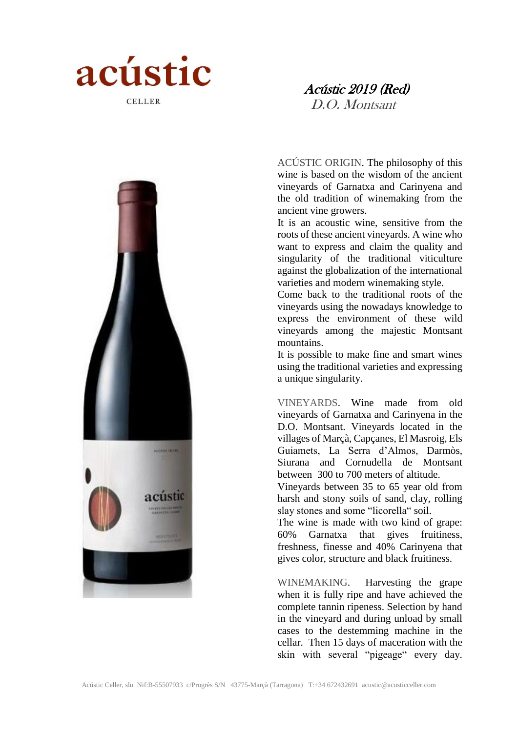

# Acústic 2019 (Red)

D.O. Montsant



ACÚSTIC ORIGIN. The philosophy of this wine is based on the wisdom of the ancient vineyards of Garnatxa and Carinyena and the old tradition of winemaking from the ancient vine growers.

It is an acoustic wine, sensitive from the roots of these ancient vineyards. A wine who want to express and claim the quality and singularity of the traditional viticulture against the globalization of the international varieties and modern winemaking style.

Come back to the traditional roots of the vineyards using the nowadays knowledge to express the environment of these wild vineyards among the majestic Montsant mountains.

It is possible to make fine and smart wines using the traditional varieties and expressing a unique singularity.

VINEYARDS. Wine made from old vineyards of Garnatxa and Carinyena in the D.O. Montsant. Vineyards located in the villages of Marçà, Capçanes, El Masroig, Els Guiamets, La Serra d'Almos, Darmòs, Siurana and Cornudella de Montsant between 300 to 700 meters of altitude.

Vineyards between 35 to 65 year old from harsh and stony soils of sand, clay, rolling slay stones and some "licorella" soil.

The wine is made with two kind of grape: 60% Garnatxa that gives fruitiness, freshness, finesse and 40% Carinyena that gives color, structure and black fruitiness.

WINEMAKING. Harvesting the grape when it is fully ripe and have achieved the complete tannin ripeness. Selection by hand in the vineyard and during unload by small cases to the destemming machine in the cellar. Then 15 days of maceration with the skin with several "pigeage" every day.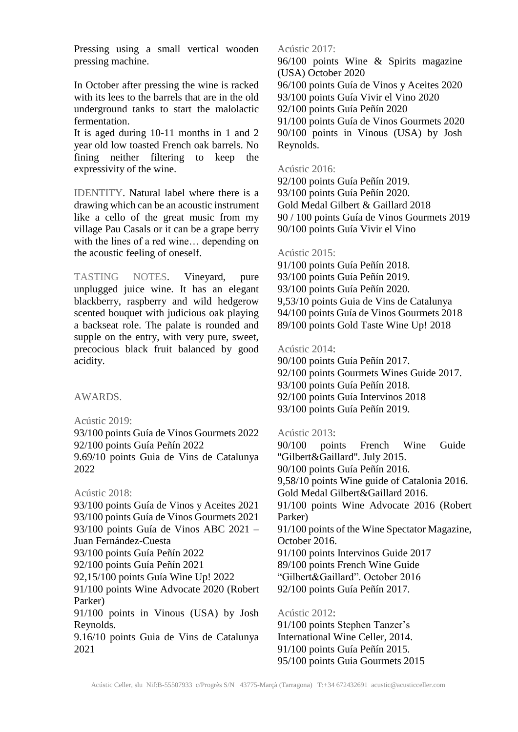Pressing using a small vertical wooden pressing machine.

In October after pressing the wine is racked with its lees to the barrels that are in the old underground tanks to start the malolactic fermentation.

It is aged during 10-11 months in 1 and 2 year old low toasted French oak barrels. No fining neither filtering to keep the expressivity of the wine.

IDENTITY. Natural label where there is a drawing which can be an acoustic instrument like a cello of the great music from my village Pau Casals or it can be a grape berry with the lines of a red wine… depending on the acoustic feeling of oneself.

TASTING NOTES. Vineyard, pure unplugged juice wine. It has an elegant blackberry, raspberry and wild hedgerow scented bouquet with judicious oak playing a backseat role. The palate is rounded and supple on the entry, with very pure, sweet, precocious black fruit balanced by good acidity.

AWARDS.

Acústic 2019:

93/100 points Guía de Vinos Gourmets 2022 92/100 points Guía Peñín 2022 9.69/10 points Guia de Vins de Catalunya 2022

## Acústic 2018:

2021

93/100 points Guía de Vinos y Aceites 2021 93/100 points Guía de Vinos Gourmets 2021 93/100 points Guía de Vinos ABC 2021 – Juan Fernández-Cuesta 93/100 points Guía Peñín 2022 92/100 points Guía Peñín 2021 92,15/100 points Guía Wine Up! 2022 91/100 points Wine Advocate 2020 (Robert Parker) 91/100 points in Vinous (USA) by Josh Reynolds. 9.16/10 points Guia de Vins de Catalunya

Acústic 2017:

96/100 points Wine & Spirits magazine (USA) October 2020 96/100 points Guía de Vinos y Aceites 2020 93/100 points Guía Vivir el Vino 2020 92/100 points Guía Peñín 2020 91/100 points Guía de Vinos Gourmets 2020 90/100 points in Vinous (USA) by Josh Reynolds.

## Acústic 2016:

92/100 points Guía Peñín 2019. 93/100 points Guía Peñín 2020. Gold Medal Gilbert & Gaillard 2018 90 / 100 points Guía de Vinos Gourmets 2019 90/100 points Guía Vivir el Vino

## Acústic 2015:

91/100 points Guía Peñín 2018. 93/100 points Guía Peñín 2019. 93/100 points Guía Peñín 2020. 9,53/10 points Guia de Vins de Catalunya 94/100 points Guía de Vinos Gourmets 2018 89/100 points Gold Taste Wine Up! 2018

### Acústic 2014:

90/100 points Guía Peñín 2017. 92/100 points Gourmets Wines Guide 2017. 93/100 points Guía Peñín 2018. 92/100 points Guía Intervinos 2018 93/100 points Guía Peñín 2019.

Acústic 2013:

90/100 points French Wine Guide "Gilbert&Gaillard". July 2015. 90/100 points Guía Peñín 2016. 9,58/10 points Wine guide of Catalonia 2016. Gold Medal Gilbert&Gaillard 2016. 91/100 points Wine Advocate 2016 (Robert Parker) 91/100 points of the Wine Spectator Magazine, October 2016. 91/100 points Intervinos Guide 2017 89/100 points French Wine Guide "Gilbert&Gaillard". October 2016 92/100 points Guía Peñín 2017. Acústic 2012:

91/100 points Stephen Tanzer's International Wine Celler, 2014. 91/100 points Guía Peñín 2015. 95/100 points Guia Gourmets 2015